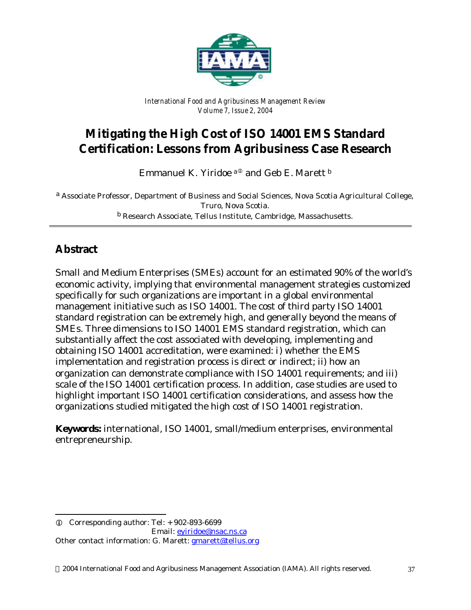

*International Food and Agribusiness Management Review Volume 7, Issue 2, 2004*

# **Mitigating the High Cost of ISO 14001 EMS Standard Certification: Lessons from Agribusiness Case Research**

Emmanuel K. Yiridoe a<sup>®</sup> and Geb E. Marett <sup>b</sup>

a *Associate Professor, Department of Business and Social Sciences, Nova Scotia Agricultural College, Truro, Nova Scotia.* b *Research Associate, Tellus Institute, Cambridge, Massachusetts.*

# **Abstract**

l

Small and Medium Enterprises (SMEs) account for an estimated 90% of the world's economic activity, implying that environmental management strategies customized specifically for such organizations are important in a global environmental management initiative such as ISO 14001. The cost of third party ISO 14001 standard registration can be extremely high, and generally beyond the means of SMEs. Three dimensions to ISO 14001 EMS standard registration, which can substantially affect the cost associated with developing, implementing and obtaining ISO 14001 accreditation, were examined: i) whether the EMS implementation and registration process is direct or indirect; ii) how an organization can demonstrate compliance with ISO 14001 requirements; and iii) scale of the ISO 14001 certification process. In addition, case studies are used to highlight important ISO 14001 certification considerations, and assess how the organizations studied mitigated the high cost of ISO 14001 registration.

**Keywords:** international, ISO 14001, small/medium enterprises, environmental entrepreneurship.

 $Q$  Corresponding author: Tel:  $+902-893-6699$  Email: eyiridoe@nsac.ns.ca Other contact information: G. Marett: **gmarett@tellus.org**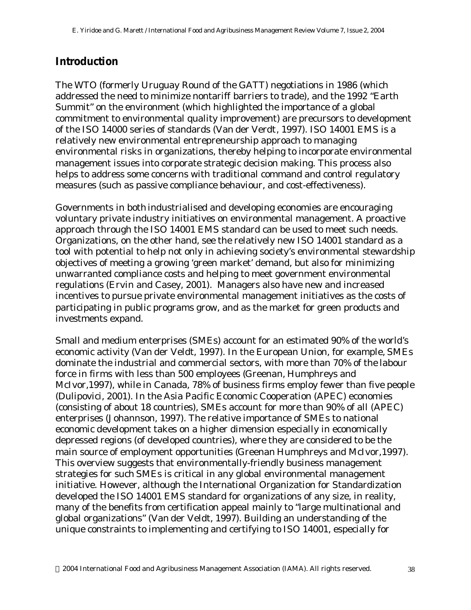### **Introduction**

The WTO (formerly Uruguay Round of the GATT) negotiations in 1986 (which addressed the need to minimize nontariff barriers to trade), and the 1992 "Earth Summit" on the environment (which highlighted the importance of a global commitment to environmental quality improvement) are precursors to development of the ISO 14000 series of standards (Van der Verdt, 1997). ISO 14001 EMS is a relatively new environmental entrepreneurship approach to managing environmental risks in organizations, thereby helping to incorporate environmental management issues into corporate strategic decision making. This process also helps to address some concerns with traditional command and control regulatory measures (such as passive compliance behaviour, and cost-effectiveness).

Governments in both industrialised and developing economies are encouraging voluntary private industry initiatives on environmental management. A proactive approach through the ISO 14001 EMS standard can be used to meet such needs. Organizations, on the other hand, see the relatively new ISO 14001 standard as a tool with potential to help not only in achieving society's environmental stewardship objectives of meeting a growing 'green market' demand, but also for minimizing unwarranted compliance costs and helping to meet government environmental regulations (Ervin and Casey, 2001). Managers also have new and increased incentives to pursue private environmental management initiatives as the costs of participating in public programs grow, and as the market for green products and investments expand.

Small and medium enterprises (SMEs) account for an estimated 90% of the world's economic activity (Van der Veldt, 1997). In the European Union, for example, SMEs dominate the industrial and commercial sectors, with more than 70% of the labour force in firms with less than 500 employees (Greenan, Humphreys and McIvor,1997), while in Canada, 78% of business firms employ fewer than five people (Dulipovici, 2001). In the Asia Pacific Economic Cooperation (APEC) economies (consisting of about 18 countries), SMEs account for more than 90% of all (APEC) enterprises (Johannson, 1997). The relative importance of SMEs to national economic development takes on a higher dimension especially in economically depressed regions (of developed countries), where they are considered to be the main source of employment opportunities (Greenan Humphreys and McIvor,1997). This overview suggests that environmentally-friendly business management strategies for such SMEs is critical in any global environmental management initiative. However, although the International Organization for Standardization developed the ISO 14001 EMS standard for organizations of any size, in reality, many of the benefits from certification appeal mainly to "large multinational and global organizations" (Van der Veldt, 1997). Building an understanding of the unique constraints to implementing and certifying to ISO 14001, especially for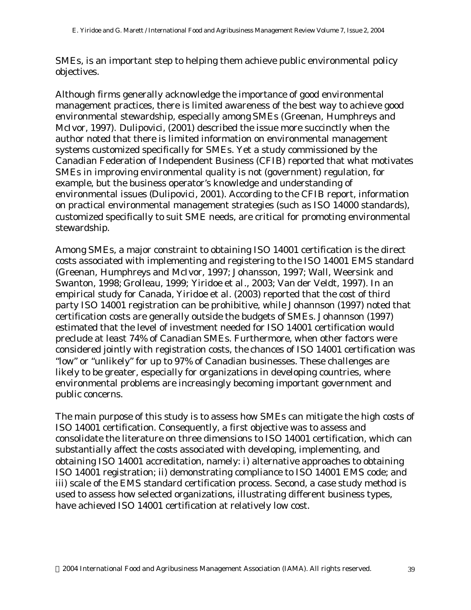SMEs, is an important step to helping them achieve public environmental policy objectives.

Although firms generally acknowledge the importance of good environmental management practices, there is limited awareness of the best way to achieve good environmental stewardship, especially among SMEs (Greenan, Humphreys and McIvor, 1997). Dulipovici, (2001) described the issue more succinctly when the author noted that there is limited information on environmental management systems customized specifically for SMEs. Yet a study commissioned by the Canadian Federation of Independent Business (CFIB) reported that what motivates SMEs in improving environmental quality is not (government) regulation, for example, but the business operator's knowledge and understanding of environmental issues (Dulipovici, 2001). According to the CFIB report, information on practical environmental management strategies (such as ISO 14000 standards), customized specifically to suit SME needs, are critical for promoting environmental stewardship.

Among SMEs, a major constraint to obtaining ISO 14001 certification is the direct costs associated with implementing and registering to the ISO 14001 EMS standard (Greenan, Humphreys and McIvor, 1997; Johansson, 1997; Wall, Weersink and Swanton, 1998; Grolleau, 1999; Yiridoe *et al*., 2003; Van der Veldt, 1997). In an empirical study for Canada, Yiridoe et al. (2003) reported that the cost of third party ISO 14001 registration can be prohibitive, while Johannson (1997) noted that certification costs are generally outside the budgets of SMEs. Johannson (1997) estimated that the level of investment needed for ISO 14001 certification would preclude at least 74% of Canadian SMEs. Furthermore, when other factors were considered jointly with registration costs, the chances of ISO 14001 certification was "low" or "unlikely" for up to 97% of Canadian businesses. These challenges are likely to be greater, especially for organizations in developing countries, where environmental problems are increasingly becoming important government and public concerns.

The main purpose of this study is to assess how SMEs can mitigate the high costs of ISO 14001 certification. Consequently, a first objective was to assess and consolidate the literature on three dimensions to ISO 14001 certification, which can substantially affect the costs associated with developing, implementing, and obtaining ISO 14001 accreditation, namely: i) alternative approaches to obtaining ISO 14001 registration; ii) demonstrating compliance to ISO 14001 EMS code; and iii) scale of the EMS standard certification process. Second, a case study method is used to assess how selected organizations, illustrating different business types, have achieved ISO 14001 certification at relatively low cost.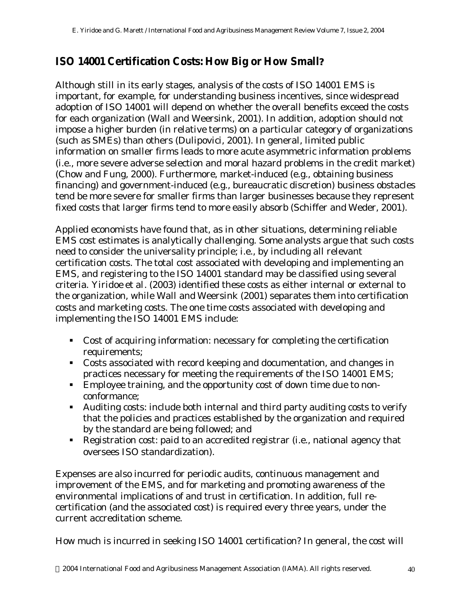# **ISO 14001 Certification Costs: How Big or How Small***?*

Although still in its early stages, analysis of the costs of ISO 14001 EMS is important, for example, for understanding business incentives, since widespread adoption of ISO 14001 will depend on whether the overall benefits exceed the costs for each organization (Wall and Weersink, 2001). In addition, adoption should not impose a higher burden (in relative terms) on a particular category of organizations (such as SMEs) than others (Dulipovici, 2001). In general, limited public information on smaller firms leads to more acute asymmetric information problems (i.e., more severe adverse selection and moral hazard problems in the credit market) (Chow and Fung, 2000). Furthermore, market-induced (e.g., obtaining business financing) and government-induced (e.g., bureaucratic discretion) business obstacles tend be more severe for smaller firms than larger businesses because they represent fixed costs that larger firms tend to more easily absorb (Schiffer and Weder, 2001).

Applied economists have found that, as in other situations, determining reliable EMS cost estimates is analytically challenging. Some analysts argue that such costs need to consider the universality principle; i.e., by including all relevant certification costs. The total cost associated with developing and implementing an EMS, and registering to the ISO 14001 standard may be classified using several criteria. Yiridoe *et al*. (2003) identified these costs as either internal or external to the organization, while Wall and Weersink (2001) separates them into certification costs and marketing costs. The one time costs associated with developing and implementing the ISO 14001 EMS include:

- Cost of acquiring information: necessary for completing the certification requirements;
- Costs associated with record keeping and documentation, and changes in practices necessary for meeting the requirements of the ISO 14001 EMS;
- **Employee training, and the opportunity cost of down time due to non**conformance;
- Auditing costs: include both internal and third party auditing costs to verify that the policies and practices established by the organization and required by the standard are being followed; and
- Registration cost: paid to an accredited registrar (i.e., national agency that oversees ISO standardization).

Expenses are also incurred for periodic audits, continuous management and improvement of the EMS, and for marketing and promoting awareness of the environmental implications of and trust in certification. In addition, full recertification (and the associated cost) is required every three years, under the current accreditation scheme.

How much is incurred in seeking ISO 14001 certification? In general, the cost will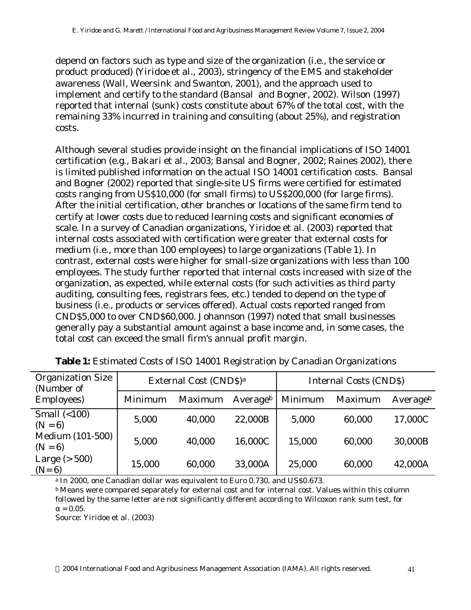depend on factors such as type and size of the organization (i.e., the service or product produced) (Yiridoe *et al*., 2003), stringency of the EMS and stakeholder awareness (Wall, Weersink and Swanton, 2001), and the approach used to implement and certify to the standard (Bansal and Bogner, 2002). Wilson (1997) reported that internal (sunk) costs constitute about 67% of the total cost, with the remaining 33% incurred in training and consulting (about 25%), and registration costs.

Although several studies provide insight on the financial implications of ISO 14001 certification (e.g., Bakari et al., 2003; Bansal and Bogner, 2002; Raines 2002), there is limited published information on the actual ISO 14001 certification costs. Bansal and Bogner (2002) reported that single-site US firms were certified for estimated costs ranging from US\$10,000 (for small firms) to US\$200,000 (for large firms). After the initial certification, other branches or locations of the same firm tend to certify at lower costs due to reduced learning costs and significant economies of scale. In a survey of Canadian organizations, Yiridoe *et al*. (2003) reported that internal costs associated with certification were greater that external costs for medium (i.e., more than 100 employees) to large organizations (Table 1). In contrast, external costs were higher for small-size organizations with less than 100 employees. The study further reported that internal costs increased with size of the organization, as expected, while external costs (for such activities as third party auditing, consulting fees, registrars fees, etc.) tended to depend on the type of business (i.e., products or services offered). Actual costs reported ranged from CND\$5,000 to over CND\$60,000. Johannson (1997) noted that small businesses generally pay a substantial amount against a base income and, in some cases, the total cost can exceed the small firm's annual profit margin.

| <b>Organization Size</b><br>(Number of<br><b>Employees</b> ) | External Cost (CND\$) <sup>a</sup> |         |          | <b>Internal Costs (CNDS)</b> |         |          |  |
|--------------------------------------------------------------|------------------------------------|---------|----------|------------------------------|---------|----------|--|
|                                                              | Minimum                            | Maximum | Averageb | Minimum                      | Maximum | Averageb |  |
| Small $(<100)$<br>$(N = 6)$                                  | 5,000                              | 40,000  | 22,000B  | 5,000                        | 60,000  | 17,000C  |  |
| <b>Medium (101-500)</b><br>$(N = 6)$                         | 5,000                              | 40,000  | 16,000C  | 15,000                       | 60,000  | 30,000B  |  |
| Large $($ > 500 $)$<br>$(N=6)$                               | 15,000                             | 60,000  | 33,000A  | 25,000                       | 60,000  | 42,000A  |  |

|  |  |  |  |  | Table 1: Estimated Costs of ISO 14001 Registration by Canadian Organizations |  |  |  |  |
|--|--|--|--|--|------------------------------------------------------------------------------|--|--|--|--|
|--|--|--|--|--|------------------------------------------------------------------------------|--|--|--|--|

<sup>a</sup> In 2000, one Canadian dollar was equivalent to Euro 0.730, and US\$0.673.

<sup>b</sup> Means were compared separately for external cost and for internal cost. Values within this column followed by the same letter are not significantly different according to Wilcoxon rank sum test, for  $\alpha = 0.05$ .

Source: Yiridoe et al. (2003)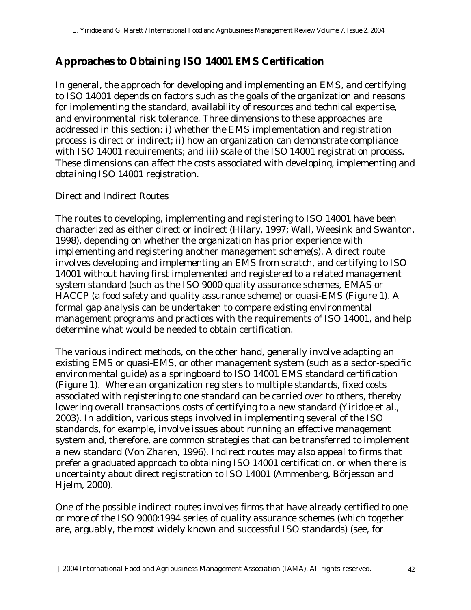# **Approaches to Obtaining ISO 14001 EMS Certification**

In general, the approach for developing and implementing an EMS, and certifying to ISO 14001 depends on factors such as the goals of the organization and reasons for implementing the standard, availability of resources and technical expertise, and environmental risk tolerance. Three dimensions to these approaches are addressed in this section: i) whether the EMS implementation and registration process is direct or indirect; ii) how an organization can demonstrate compliance with ISO 14001 requirements; and iii) scale of the ISO 14001 registration process. These dimensions can affect the costs associated with developing, implementing and obtaining ISO 14001 registration.

### *Direct and Indirect Routes*

The routes to developing, implementing and registering to ISO 14001 have been characterized as either direct or indirect (Hilary, 1997; Wall, Weesink and Swanton, 1998), depending on whether the organization has prior experience with implementing and registering another management scheme(s). A direct route involves developing and implementing an EMS from scratch, and certifying to ISO 14001 without having first implemented and registered to a related management system standard (such as the ISO 9000 quality assurance schemes, EMAS or HACCP (a food safety and quality assurance scheme) or quasi-EMS (Figure 1). A formal gap analysis can be undertaken to compare existing environmental management programs and practices with the requirements of ISO 14001, and help determine what would be needed to obtain certification.

The various indirect methods, on the other hand, generally involve adapting an existing EMS or quasi-EMS, or other management system (such as a sector-specific environmental guide) as a springboard to ISO 14001 EMS standard certification (Figure 1). Where an organization registers to multiple standards, fixed costs associated with registering to one standard can be carried over to others, thereby lowering overall transactions costs of certifying to a new standard (Yiridoe *et al*., 2003). In addition, various steps involved in implementing several of the ISO standards, for example, involve issues about running an effective management system and, therefore, are common strategies that can be transferred to implement a new standard (Von Zharen, 1996). Indirect routes may also appeal to firms that prefer a graduated approach to obtaining ISO 14001 certification, or when there is uncertainty about direct registration to ISO 14001 (Ammenberg, Börjesson and Hjelm, 2000).

One of the possible indirect routes involves firms that have already certified to one or more of the ISO 9000:1994 series of quality assurance schemes (which together are, arguably, the most widely known and successful ISO standards) (see, for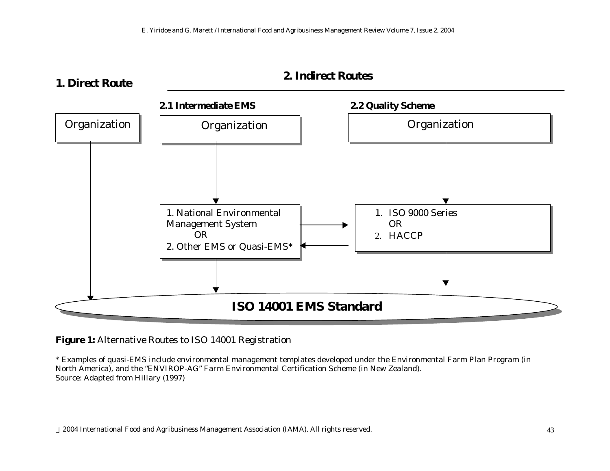### **1. Direct Route**





**Figure 1:** Alternative Routes to ISO 14001 Registration

\* Examples of quasi-EMS include environmental management templates developed under the Environmental Farm Plan Program (in North America), and the "ENVIROP-AG" Farm Environmental Certification Scheme (in New Zealand). Source: Adapted from Hillary (1997)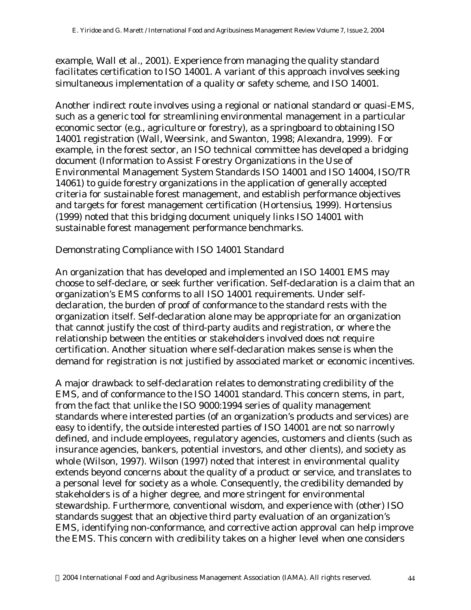example, Wall et al., 2001). Experience from managing the quality standard facilitates certification to ISO 14001. A variant of this approach involves seeking simultaneous implementation of a quality or safety scheme, and ISO 14001.

Another indirect route involves using a regional or national standard or quasi-EMS, such as a generic tool for streamlining environmental management in a particular economic sector (e.g., agriculture or forestry), as a springboard to obtaining ISO 14001 registration (Wall, Weersink, and Swanton, 1998; Alexandra, 1999). For example, in the forest sector, an ISO technical committee has developed a bridging document (*Information to Assist Forestry Organizations in the Use of Environmental Management System Standards ISO 14001 and ISO 14004,* ISO/TR 14061) to guide forestry organizations in the application of generally accepted criteria for sustainable forest management, and establish performance objectives and targets for forest management certification (Hortensius, 1999). Hortensius (1999) noted that this bridging document uniquely links ISO 14001 with sustainable forest management performance benchmarks.

### *Demonstrating Compliance with ISO 14001 Standard*

An organization that has developed and implemented an ISO 14001 EMS may choose to self-declare, or seek further verification. Self-declaration is a claim that an organization's EMS conforms to all ISO 14001 requirements. Under selfdeclaration, the burden of proof of conformance to the standard rests with the organization itself. Self-declaration alone may be appropriate for an organization that cannot justify the cost of third-party audits and registration, or where the relationship between the entities or stakeholders involved does not require certification. Another situation where self-declaration makes sense is when the demand for registration is not justified by associated market or economic incentives.

A major drawback to self-declaration relates to demonstrating credibility of the EMS, and of conformance to the ISO 14001 standard. This concern stems, in part, from the fact that unlike the ISO 9000:1994 series of quality management standards where interested parties (of an organization's products and services) are easy to identify, the outside interested parties of ISO 14001 are not so narrowly defined, and include employees, regulatory agencies, customers and clients (such as insurance agencies, bankers, potential investors, and other clients), and society as whole (Wilson, 1997). Wilson (1997) noted that interest in environmental quality extends beyond concerns about the quality of a product or service, and translates to a personal level for society as a whole. Consequently, the credibility demanded by stakeholders is of a higher degree, and more stringent for environmental stewardship. Furthermore, conventional wisdom, and experience with (other) ISO standards suggest that an objective third party evaluation of an organization's EMS, identifying non-conformance, and corrective action approval can help improve the EMS. This concern with credibility takes on a higher level when one considers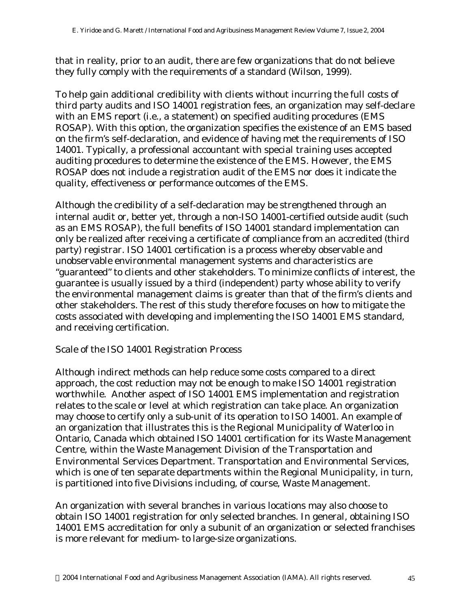that in reality, prior to an audit, there are few organizations that do not believe they fully comply with the requirements of a standard (Wilson, 1999).

To help gain additional credibility with clients without incurring the full costs of third party audits and ISO 14001 registration fees, an organization may self-declare with an EMS report (i.e., a statement) on specified auditing procedures (EMS ROSAP). With this option, the organization specifies the existence of an EMS based on the firm's self-declaration, and evidence of having met the requirements of ISO 14001. Typically, a professional accountant with special training uses accepted auditing procedures to determine the existence of the EMS. However, the EMS ROSAP does not include a registration audit of the EMS nor does it indicate the quality, effectiveness or performance outcomes of the EMS.

Although the credibility of a self-declaration may be strengthened through an internal audit or, better yet, through a non-ISO 14001-certified outside audit (such as an EMS ROSAP), the full benefits of ISO 14001 standard implementation can only be realized after receiving a certificate of compliance from an accredited (third party) registrar. ISO 14001 certification is a process whereby observable and unobservable environmental management systems and characteristics are "guaranteed" to clients and other stakeholders. To minimize conflicts of interest, the guarantee is usually issued by a third (independent) party whose ability to verify the environmental management claims is greater than that of the firm's clients and other stakeholders. The rest of this study therefore focuses on how to mitigate the costs associated with developing and implementing the ISO 14001 EMS standard, and receiving certification.

#### *Scale of the ISO 14001 Registration Process*

Although indirect methods can help reduce some costs compared to a direct approach, the cost reduction may not be enough to make ISO 14001 registration worthwhile. Another aspect of ISO 14001 EMS implementation and registration relates to the scale or level at which registration can take place. An organization may choose to certify only a sub-unit of its operation to ISO 14001. An example of an organization that illustrates this is the Regional Municipality of Waterloo in Ontario, Canada which obtained ISO 14001 certification for its Waste Management Centre, within the Waste Management Division of the Transportation and Environmental Services Department. Transportation and Environmental Services, which is one of ten separate departments within the Regional Municipality, in turn, is partitioned into five Divisions including, of course, Waste Management.

An organization with several branches in various locations may also choose to obtain ISO 14001 registration for only selected branches. In general, obtaining ISO 14001 EMS accreditation for only a subunit of an organization or selected franchises is more relevant for medium- to large-size organizations.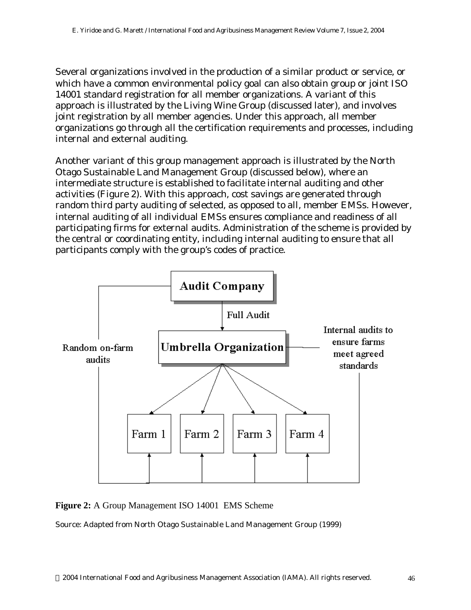Several organizations involved in the production of a similar product or service, or which have a common environmental policy goal can also obtain group or joint ISO 14001 standard registration for all member organizations. A variant of this approach is illustrated by the Living Wine Group (discussed later), and involves joint registration by all member agencies. Under this approach, all member organizations go through all the certification requirements and processes, including internal and external auditing.

Another variant of this group management approach is illustrated by the North Otago Sustainable Land Management Group (discussed below), where an intermediate structure is established to facilitate internal auditing and other activities (Figure 2). With this approach, cost savings are generated through random third party auditing of selected, as opposed to all, member EMSs. However, internal auditing of all individual EMSs ensures compliance and readiness of all participating firms for external audits. Administration of the scheme is provided by the central or coordinating entity, including internal auditing to ensure that all participants comply with the group's codes of practice.



**Figure 2:** A Group Management ISO 14001 EMS Scheme

Source: Adapted from North Otago Sustainable Land Management Group (1999)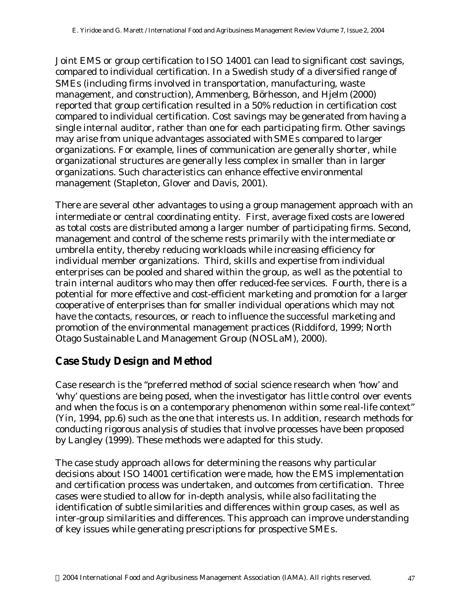Joint EMS or group certification to ISO 14001 can lead to significant cost savings, compared to individual certification. In a Swedish study of a diversified range of SMEs (including firms involved in transportation, manufacturing, waste management, and construction), Ammenberg, Börhesson, and Hjelm (2000) reported that group certification resulted in a 50% reduction in certification cost compared to individual certification. Cost savings may be generated from having a single internal auditor, rather than one for each participating firm. Other savings may arise from unique advantages associated with SMEs compared to larger organizations. For example, lines of communication are generally shorter, while organizational structures are generally less complex in smaller than in larger organizations. Such characteristics can enhance effective environmental management (Stapleton, Glover and Davis, 2001).

There are several other advantages to using a group management approach with an intermediate or central coordinating entity. First, average fixed costs are lowered as total costs are distributed among a larger number of participating firms. Second, management and control of the scheme rests primarily with the intermediate or umbrella entity, thereby reducing workloads while increasing efficiency for individual member organizations. Third, skills and expertise from individual enterprises can be pooled and shared within the group, as well as the potential to train internal auditors who may then offer reduced-fee services. Fourth, there is a potential for more effective and cost-efficient marketing and promotion for a larger cooperative of enterprises than for smaller individual operations which may not have the contacts, resources, or reach to influence the successful marketing and promotion of the environmental management practices (Riddiford, 1999; North Otago Sustainable Land Management Group (NOSLaM), 2000).

# **Case Study Design and Method**

Case research is the "preferred method of social science research when 'how' and 'why' questions are being posed, when the investigator has little control over events and when the focus is on a contemporary phenomenon within some real-life context" (Yin, 1994, pp.6) such as the one that interests us. In addition, research methods for conducting rigorous analysis of studies that involve processes have been proposed by Langley (1999). These methods were adapted for this study.

The case study approach allows for determining the reasons why particular decisions about ISO 14001 certification were made, how the EMS implementation and certification process was undertaken, and outcomes from certification. Three cases were studied to allow for in-depth analysis, while also facilitating the identification of subtle similarities and differences within group cases, as well as inter-group similarities and differences. This approach can improve understanding of key issues while generating prescriptions for prospective SMEs.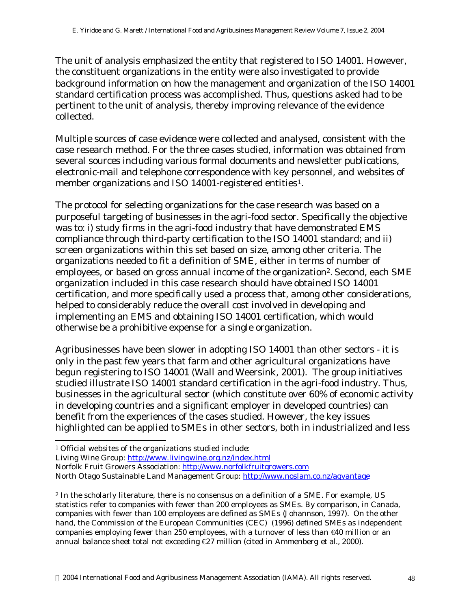The unit of analysis emphasized the entity that registered to ISO 14001. However, the constituent organizations in the entity were also investigated to provide background information on how the management and organization of the ISO 14001 standard certification process was accomplished. Thus, questions asked had to be pertinent to the unit of analysis, thereby improving relevance of the evidence collected.

Multiple sources of case evidence were collected and analysed, consistent with the case research method. For the three cases studied, information was obtained from several sources including various formal documents and newsletter publications, electronic-mail and telephone correspondence with key personnel, and websites of member organizations and ISO 14001-registered entities<sup>1</sup>.

The protocol for selecting organizations for the case research was based on a purposeful targeting of businesses in the agri-food sector. Specifically the objective was to: i) study firms in the agri-food industry that have demonstrated EMS compliance through third-party certification to the ISO 14001 standard; and ii) screen organizations within this set based on size, among other criteria. The organizations needed to fit a definition of SME, either in terms of number of employees, or based on gross annual income of the organization<sup>2</sup>. Second, each SME organization included in this case research should have obtained ISO 14001 certification, and more specifically used a process that, among other considerations, helped to considerably reduce the overall cost involved in developing and implementing an EMS and obtaining ISO 14001 certification, which would otherwise be a prohibitive expense for a single organization.

Agribusinesses have been slower in adopting ISO 14001 than other sectors - it is only in the past few years that farm and other agricultural organizations have begun registering to ISO 14001 (Wall and Weersink, 2001). The group initiatives studied illustrate ISO 14001 standard certification in the agri-food industry. Thus, businesses in the agricultural sector (which constitute over 60% of economic activity in developing countries and a significant employer in developed countries) can benefit from the experiences of the cases studied. However, the key issues highlighted can be applied to SMEs in other sectors, both in industrialized and less

l

<sup>1</sup> Official websites of the organizations studied include:

Living Wine Group: http://www.livingwine.org.nz/index.html

Norfolk Fruit Growers Association: http://www.norfolkfruitgrowers.com

North Otago Sustainable Land Management Group: http://www.noslam.co.nz/agvantage

<sup>2</sup> In the scholarly literature, there is no consensus on a definition of a SME. For example, US statistics refer to companies with fewer than 200 employees as SMEs. By comparison, in Canada, companies with fewer than 100 employees are defined as SMEs (Johannson, 1997). On the other hand, the Commission of the European Communities (CEC) (1996) defined SMEs as independent companies employing fewer than 250 employees, with a turnover of less than  $\bigoplus$  million or an annual balance sheet total not exceeding €27 million (cited in Ammenberg *et al*., 2000).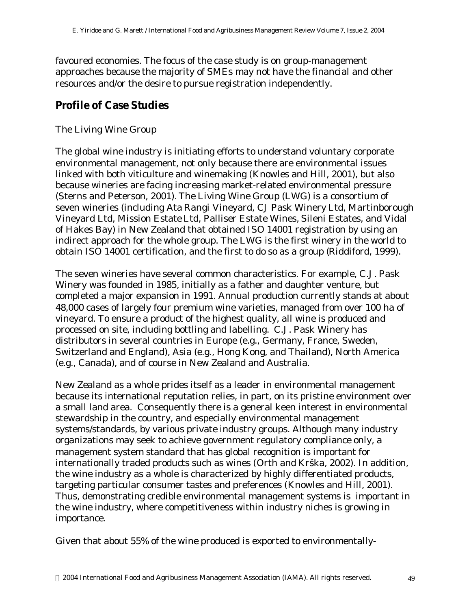favoured economies. The focus of the case study is on group-management approaches because the majority of SMEs may not have the financial and other resources and/or the desire to pursue registration independently.

# **Profile of Case Studies**

### *The Living Wine Group*

The global wine industry is initiating efforts to understand voluntary corporate environmental management, not only because there are environmental issues linked with both viticulture and winemaking (Knowles and Hill, 2001), but also because wineries are facing increasing market-related environmental pressure (Sterns and Peterson, 2001). The Living Wine Group (LWG) is a consortium of seven wineries (including Ata Rangi Vineyard, CJ Pask Winery Ltd, Martinborough Vineyard Ltd, Mission Estate Ltd, Palliser Estate Wines, Sileni Estates, and Vidal of Hakes Bay) in New Zealand that obtained ISO 14001 registration by using an indirect approach for the whole group. The LWG is the first winery in the world to obtain ISO 14001 certification, and the first to do so as a group (Riddiford, 1999).

The seven wineries have several common characteristics. For example, C.J. Pask Winery was founded in 1985, initially as a father and daughter venture, but completed a major expansion in 1991. Annual production currently stands at about 48,000 cases of largely four premium wine varieties, managed from over 100 ha of vineyard. To ensure a product of the highest quality, all wine is produced and processed on site, including bottling and labelling. C.J. Pask Winery has distributors in several countries in Europe (e.g., Germany, France, Sweden, Switzerland and England), Asia (e.g., Hong Kong, and Thailand), North America (e.g., Canada), and of course in New Zealand and Australia.

New Zealand as a whole prides itself as a leader in environmental management because its international reputation relies, in part, on its pristine environment over a small land area. Consequently there is a general keen interest in environmental stewardship in the country, and especially environmental management systems/standards, by various private industry groups. Although many industry organizations may seek to achieve government regulatory compliance only, a management system standard that has global recognition is important for internationally traded products such as wines (Orth and Krška, 2002). In addition, the wine industry as a whole is characterized by highly differentiated products, targeting particular consumer tastes and preferences (Knowles and Hill, 2001). Thus, demonstrating credible environmental management systems is important in the wine industry, where competitiveness within industry niches is growing in importance.

Given that about 55% of the wine produced is exported to environmentally-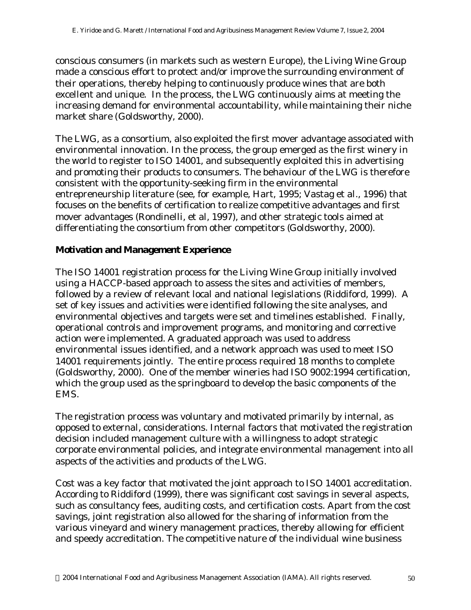conscious consumers (in markets such as western Europe), the Living Wine Group made a conscious effort to protect and/or improve the surrounding environment of their operations, thereby helping to continuously produce wines that are both excellent and unique. In the process, the LWG continuously aims at meeting the increasing demand for environmental accountability, while maintaining their niche market share (Goldsworthy, 2000).

The LWG, as a consortium, also exploited the first mover advantage associated with environmental innovation. In the process, the group emerged as the first winery in the world to register to ISO 14001, and subsequently exploited this in advertising and promoting their products to consumers. The behaviour of the LWG is therefore consistent with the opportunity-seeking firm in the environmental entrepreneurship literature (see, for example, Hart, 1995; Vastag *et al*., 1996) that focuses on the benefits of certification to realize competitive advantages and first mover advantages (Rondinelli, et al, 1997), and other strategic tools aimed at differentiating the consortium from other competitors (Goldsworthy, 2000).

#### **Motivation and Management Experience**

The ISO 14001 registration process for the Living Wine Group initially involved using a HACCP-based approach to assess the sites and activities of members, followed by a review of relevant local and national legislations (Riddiford, 1999). A set of key issues and activities were identified following the site analyses, and environmental objectives and targets were set and timelines established. Finally, operational controls and improvement programs, and monitoring and corrective action were implemented. A graduated approach was used to address environmental issues identified, and a network approach was used to meet ISO 14001 requirements jointly. The entire process required 18 months to complete (Goldsworthy, 2000). One of the member wineries had ISO 9002:1994 certification, which the group used as the springboard to develop the basic components of the EMS.

The registration process was voluntary and motivated primarily by internal, as opposed to external, considerations. Internal factors that motivated the registration decision included management culture with a willingness to adopt strategic corporate environmental policies, and integrate environmental management into all aspects of the activities and products of the LWG.

Cost was a key factor that motivated the joint approach to ISO 14001 accreditation. According to Riddiford (1999), there was significant cost savings in several aspects, such as consultancy fees, auditing costs, and certification costs. Apart from the cost savings, joint registration also allowed for the sharing of information from the various vineyard and winery management practices, thereby allowing for efficient and speedy accreditation. The competitive nature of the individual wine business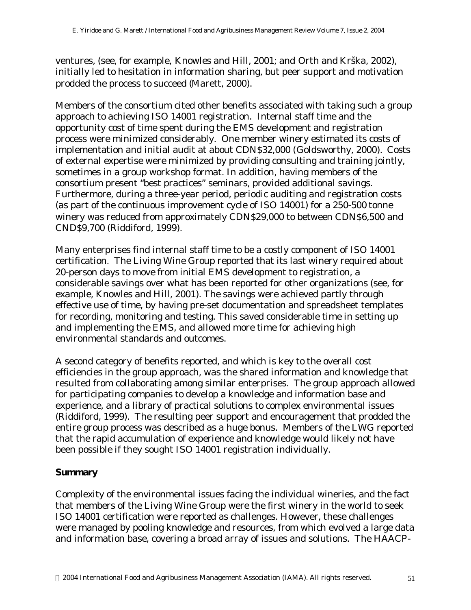ventures, (see, for example, Knowles and Hill, 2001; and Orth and Krška, 2002), initially led to hesitation in information sharing, but peer support and motivation prodded the process to succeed (Marett, 2000).

Members of the consortium cited other benefits associated with taking such a group approach to achieving ISO 14001 registration. Internal staff time and the opportunity cost of time spent during the EMS development and registration process were minimized considerably. One member winery estimated its costs of implementation and initial audit at about CDN\$32,000 (Goldsworthy, 2000). Costs of external expertise were minimized by providing consulting and training jointly, sometimes in a group workshop format. In addition, having members of the consortium present "best practices" seminars, provided additional savings. Furthermore, during a three-year period, periodic auditing and registration costs (as part of the continuous improvement cycle of ISO 14001) for a 250-500 tonne winery was reduced from approximately CDN\$29,000 to between CDN\$6,500 and CND\$9,700 (Riddiford, 1999).

Many enterprises find internal staff time to be a costly component of ISO 14001 certification. The Living Wine Group reported that its last winery required about 20-person days to move from initial EMS development to registration, a considerable savings over what has been reported for other organizations (see, for example, Knowles and Hill, 2001). The savings were achieved partly through effective use of time, by having pre-set documentation and spreadsheet templates for recording, monitoring and testing. This saved considerable time in setting up and implementing the EMS, and allowed more time for achieving high environmental standards and outcomes.

A second category of benefits reported, and which is key to the overall cost efficiencies in the group approach, was the shared information and knowledge that resulted from collaborating among similar enterprises. The group approach allowed for participating companies to develop a knowledge and information base and experience, and a library of practical solutions to complex environmental issues (Riddiford, 1999). The resulting peer support and encouragement that prodded the entire group process was described as a huge bonus. Members of the LWG reported that the rapid accumulation of experience and knowledge would likely not have been possible if they sought ISO 14001 registration individually.

#### **Summary**

Complexity of the environmental issues facing the individual wineries, and the fact that members of the Living Wine Group were the first winery in the world to seek ISO 14001 certification were reported as challenges. However, these challenges were managed by pooling knowledge and resources, from which evolved a large data and information base, covering a broad array of issues and solutions. The HAACP-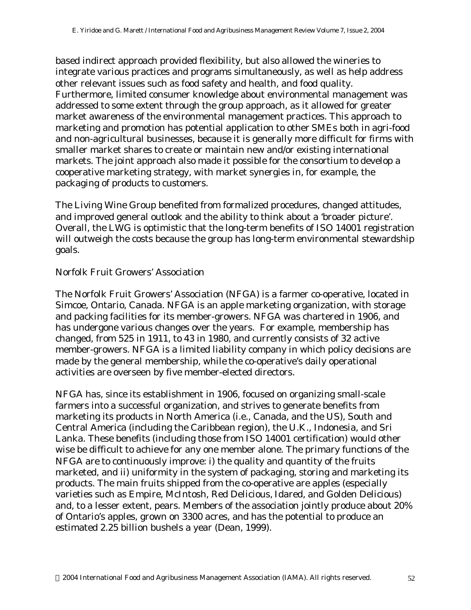based indirect approach provided flexibility, but also allowed the wineries to integrate various practices and programs simultaneously, as well as help address other relevant issues such as food safety and health, and food quality. Furthermore, limited consumer knowledge about environmental management was addressed to some extent through the group approach, as it allowed for greater market awareness of the environmental management practices. This approach to marketing and promotion has potential application to other SMEs both in agri-food and non-agricultural businesses, because it is generally more difficult for firms with smaller market shares to create or maintain new and/or existing international markets. The joint approach also made it possible for the consortium to develop a cooperative marketing strategy, with market synergies in, for example, the packaging of products to customers.

The Living Wine Group benefited from formalized procedures, changed attitudes, and improved general outlook and the ability to think about a 'broader picture'. Overall, the LWG is optimistic that the long-term benefits of ISO 14001 registration will outweigh the costs because the group has long-term environmental stewardship goals.

#### *Norfolk Fruit Growers' Association*

The Norfolk Fruit Growers' Association (NFGA) is a farmer co-operative, located in Simcoe, Ontario, Canada. NFGA is an apple marketing organization, with storage and packing facilities for its member-growers. NFGA was chartered in 1906, and has undergone various changes over the years. For example, membership has changed, from 525 in 1911, to 43 in 1980, and currently consists of 32 active member-growers. NFGA is a limited liability company in which policy decisions are made by the general membership, while the co-operative's daily operational activities are overseen by five member-elected directors.

NFGA has, since its establishment in 1906, focused on organizing small-scale farmers into a successful organization, and strives to generate benefits from marketing its products in North America (i.e., Canada, and the US), South and Central America (including the Caribbean region), the U.K., Indonesia, and Sri Lanka. These benefits (including those from ISO 14001 certification) would other wise be difficult to achieve for any one member alone. The primary functions of the NFGA are to continuously improve: i) the quality and quantity of the fruits marketed, and ii) uniformity in the system of packaging, storing and marketing its products. The main fruits shipped from the co-operative are apples (especially varieties such as Empire, McIntosh, Red Delicious, Idared, and Golden Delicious) and, to a lesser extent, pears. Members of the association jointly produce about 20% of Ontario's apples, grown on 3300 acres, and has the potential to produce an estimated 2.25 billion bushels a year (Dean, 1999).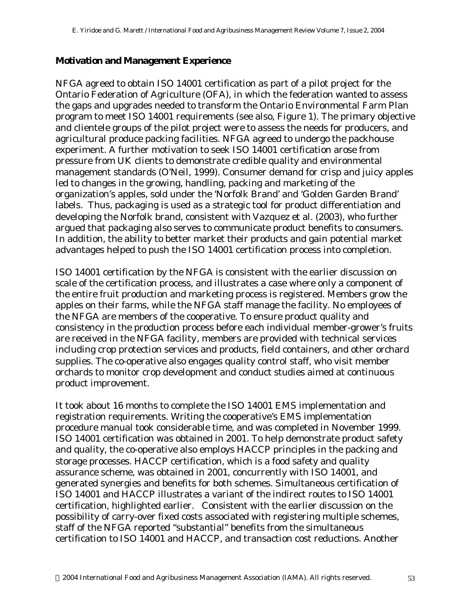#### **Motivation and Management Experience**

NFGA agreed to obtain ISO 14001 certification as part of a pilot project for the Ontario Federation of Agriculture (OFA), in which the federation wanted to assess the gaps and upgrades needed to transform the Ontario Environmental Farm Plan program to meet ISO 14001 requirements (see also, Figure 1). The primary objective and clientele groups of the pilot project were to assess the needs for producers, and agricultural produce packing facilities. NFGA agreed to undergo the packhouse experiment. A further motivation to seek ISO 14001 certification arose from pressure from UK clients to demonstrate credible quality and environmental management standards (O'Neil, 1999). Consumer demand for crisp and juicy apples led to changes in the growing, handling, packing and marketing of the organization's apples, sold under the 'Norfolk Brand' and 'Golden Garden Brand' labels. Thus, packaging is used as a strategic tool for product differentiation and developing the Norfolk brand, consistent with Vazquez *et al*. (2003), who further argued that packaging also serves to communicate product benefits to consumers. In addition, the ability to better market their products and gain potential market advantages helped to push the ISO 14001 certification process into completion.

ISO 14001 certification by the NFGA is consistent with the earlier discussion on scale of the certification process, and illustrates a case where only a component of the entire fruit production and marketing process is registered. Members grow the apples on their farms, while the NFGA staff manage the facility. No employees of the NFGA are members of the cooperative. To ensure product quality and consistency in the production process before each individual member-grower's fruits are received in the NFGA facility, members are provided with technical services including crop protection services and products, field containers, and other orchard supplies. The co-operative also engages quality control staff, who visit member orchards to monitor crop development and conduct studies aimed at continuous product improvement.

It took about 16 months to complete the ISO 14001 EMS implementation and registration requirements. Writing the cooperative's EMS implementation procedure manual took considerable time, and was completed in November 1999. ISO 14001 certification was obtained in 2001. To help demonstrate product safety and quality, the co-operative also employs HACCP principles in the packing and storage processes. HACCP certification, which is a food safety and quality assurance scheme, was obtained in 2001, concurrently with ISO 14001, and generated synergies and benefits for both schemes. Simultaneous certification of ISO 14001 and HACCP illustrates a variant of the indirect routes to ISO 14001 certification, highlighted earlier. Consistent with the earlier discussion on the possibility of carry-over fixed costs associated with registering multiple schemes, staff of the NFGA reported "substantial" benefits from the simultaneous certification to ISO 14001 and HACCP, and transaction cost reductions. Another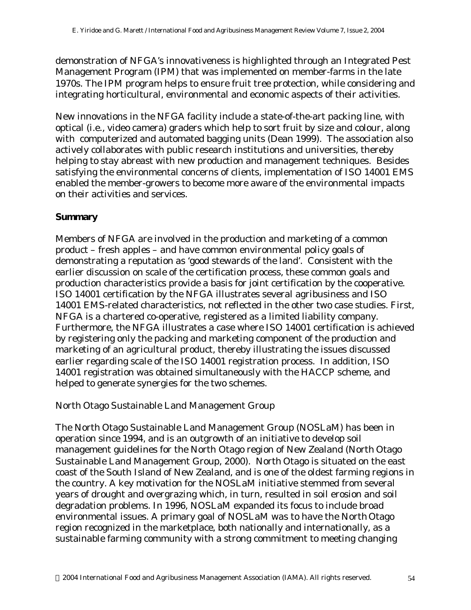demonstration of NFGA's innovativeness is highlighted through an Integrated Pest Management Program (IPM) that was implemented on member-farms in the late 1970s. The IPM program helps to ensure fruit tree protection, while considering and integrating horticultural, environmental and economic aspects of their activities.

New innovations in the NFGA facility include a state-of-the-art packing line, with optical (i.e., video camera) graders which help to sort fruit by size and colour, along with computerized and automated bagging units (Dean 1999). The association also actively collaborates with public research institutions and universities, thereby helping to stay abreast with new production and management techniques. Besides satisfying the environmental concerns of clients, implementation of ISO 14001 EMS enabled the member-growers to become more aware of the environmental impacts on their activities and services.

#### **Summary**

Members of NFGA are involved in the production and marketing of a common product – fresh apples – and have common environmental policy goals of demonstrating a reputation as 'good stewards of the land'. Consistent with the earlier discussion on scale of the certification process, these common goals and production characteristics provide a basis for joint certification by the cooperative. ISO 14001 certification by the NFGA illustrates several agribusiness and ISO 14001 EMS-related characteristics, not reflected in the other two case studies. First, NFGA is a chartered co-operative, registered as a limited liability company. Furthermore, the NFGA illustrates a case where ISO 14001 certification is achieved by registering only the packing and marketing component of the production and marketing of an agricultural product, thereby illustrating the issues discussed earlier regarding scale of the ISO 14001 registration process. In addition, ISO 14001 registration was obtained simultaneously with the HACCP scheme, and helped to generate synergies for the two schemes.

### *North Otago Sustainable Land Management Group*

The North Otago Sustainable Land Management Group (NOSLaM) has been in operation since 1994, and is an outgrowth of an initiative to develop soil management guidelines for the North Otago region of New Zealand (North Otago Sustainable Land Management Group, 2000). North Otago is situated on the east coast of the South Island of New Zealand, and is one of the oldest farming regions in the country. A key motivation for the NOSLaM initiative stemmed from several years of drought and overgrazing which, in turn, resulted in soil erosion and soil degradation problems. In 1996, NOSLaM expanded its focus to include broad environmental issues. A primary goal of NOSLaM was to have the North Otago region recognized in the marketplace, both nationally and internationally, as a sustainable farming community with a strong commitment to meeting changing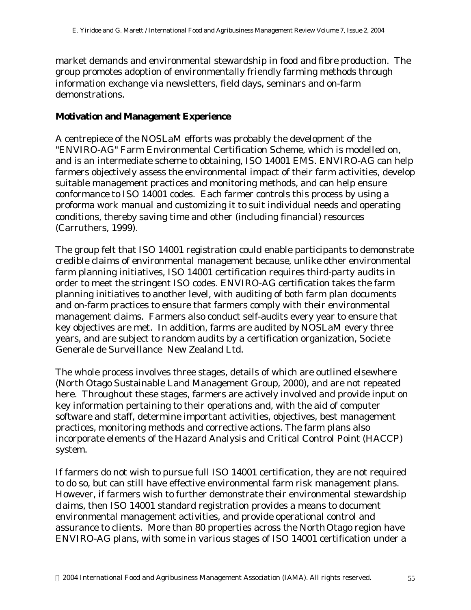market demands and environmental stewardship in food and fibre production. The group promotes adoption of environmentally friendly farming methods through information exchange via newsletters, field days, seminars and on-farm demonstrations.

#### **Motivation and Management Experience**

A centrepiece of the NOSLaM efforts was probably the development of the "ENVIRO-AG" Farm Environmental Certification Scheme, which is modelled on, and is an intermediate scheme to obtaining, ISO 14001 EMS. ENVIRO-AG can help farmers objectively assess the environmental impact of their farm activities, develop suitable management practices and monitoring methods, and can help ensure conformance to ISO 14001 codes. Each farmer controls this process by using a proforma work manual and customizing it to suit individual needs and operating conditions, thereby saving time and other (including financial) resources (Carruthers, 1999).

The group felt that ISO 14001 registration could enable participants to demonstrate credible claims of environmental management because, unlike other environmental farm planning initiatives, ISO 14001 certification requires third-party audits in order to meet the stringent ISO codes. ENVIRO-AG certification takes the farm planning initiatives to another level, with auditing of both farm plan documents and on-farm practices to ensure that farmers comply with their environmental management claims. Farmers also conduct self-audits every year to ensure that key objectives are met. In addition, farms are audited by NOSLaM every three years, and are subject to random audits by a certification organization, Societe Generale de Surveillance New Zealand Ltd.

The whole process involves three stages, details of which are outlined elsewhere (North Otago Sustainable Land Management Group, 2000), and are not repeated here. Throughout these stages, farmers are actively involved and provide input on key information pertaining to their operations and, with the aid of computer software and staff, determine important activities, objectives, best management practices, monitoring methods and corrective actions. The farm plans also incorporate elements of the Hazard Analysis and Critical Control Point (HACCP) system.

If farmers do not wish to pursue full ISO 14001 certification, they are not required to do so, but can still have effective environmental farm risk management plans. However, if farmers wish to further demonstrate their environmental stewardship claims, then ISO 14001 standard registration provides a means to document environmental management activities, and provide operational control and assurance to clients. More than 80 properties across the North Otago region have ENVIRO-AG plans, with some in various stages of ISO 14001 certification under a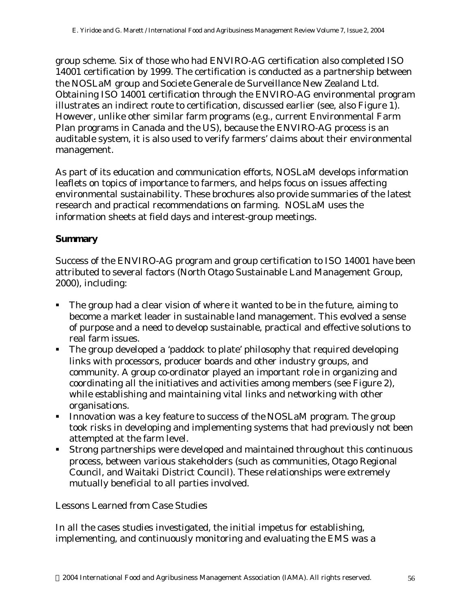group scheme. Six of those who had ENVIRO-AG certification also completed ISO 14001 certification by 1999. The certification is conducted as a partnership between the NOSLaM group and Societe Generale de Surveillance New Zealand Ltd. Obtaining ISO 14001 certification through the ENVIRO-AG environmental program illustrates an indirect route to certification, discussed earlier (see, also Figure 1). However, unlike other similar farm programs (e.g., current Environmental Farm Plan programs in Canada and the US), because the ENVIRO-AG process is an auditable system, it is also used to verify farmers' claims about their environmental management.

As part of its education and communication efforts, NOSLaM develops information leaflets on topics of importance to farmers, and helps focus on issues affecting environmental sustainability. These brochures also provide summaries of the latest research and practical recommendations on farming. NOSLaM uses the information sheets at field days and interest-group meetings.

#### **Summary**

Success of the ENVIRO-AG program and group certification to ISO 14001 have been attributed to several factors (North Otago Sustainable Land Management Group, 2000), including:

- The group had a clear vision of where it wanted to be in the future, aiming to become a market leader in sustainable land management. This evolved a sense of purpose and a need to develop sustainable, practical and effective solutions to real farm issues.
- ß The group developed a 'paddock to plate' philosophy that required developing links with processors, producer boards and other industry groups, and community. A group co-ordinator played an important role in organizing and coordinating all the initiatives and activities among members (see Figure 2), while establishing and maintaining vital links and networking with other organisations.
- Innovation was a key feature to success of the NOSLaM program. The group took risks in developing and implementing systems that had previously not been attempted at the farm level.
- ß Strong partnerships were developed and maintained throughout this continuous process, between various stakeholders (such as communities, Otago Regional Council, and Waitaki District Council). These relationships were extremely mutually beneficial to all parties involved.

#### *Lessons Learned from Case Studies*

In all the cases studies investigated, the initial impetus for establishing, implementing, and continuously monitoring and evaluating the EMS was a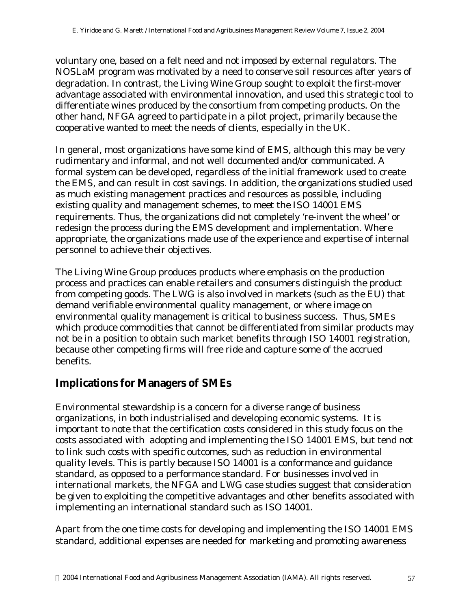voluntary one, based on a felt need and not imposed by external regulators. The NOSLaM program was motivated by a need to conserve soil resources after years of degradation. In contrast, the Living Wine Group sought to exploit the first-mover advantage associated with environmental innovation, and used this strategic tool to differentiate wines produced by the consortium from competing products. On the other hand, NFGA agreed to participate in a pilot project, primarily because the cooperative wanted to meet the needs of clients, especially in the UK.

In general, most organizations have some kind of EMS, although this may be very rudimentary and informal, and not well documented and/or communicated. A formal system can be developed, regardless of the initial framework used to create the EMS, and can result in cost savings. In addition, the organizations studied used as much existing management practices and resources as possible, including existing quality and management schemes, to meet the ISO 14001 EMS requirements. Thus, the organizations did not completely 're-invent the wheel' or redesign the process during the EMS development and implementation. Where appropriate, the organizations made use of the experience and expertise of internal personnel to achieve their objectives.

The Living Wine Group produces products where emphasis on the production process and practices can enable retailers and consumers distinguish the product from competing goods. The LWG is also involved in markets (such as the EU) that demand verifiable environmental quality management, or where image on environmental quality management is critical to business success. Thus, SMEs which produce commodities that cannot be differentiated from similar products may not be in a position to obtain such market benefits through ISO 14001 registration, because other competing firms will free ride and capture some of the accrued benefits.

### **Implications for Managers of SMEs**

Environmental stewardship is a concern for a diverse range of business organizations, in both industrialised and developing economic systems. It is important to note that the certification costs considered in this study focus on the costs associated with adopting and implementing the ISO 14001 EMS, but tend not to link such costs with specific outcomes, such as reduction in environmental quality levels. This is partly because ISO 14001 is a conformance and guidance standard, as opposed to a performance standard. For businesses involved in international markets, the NFGA and LWG case studies suggest that consideration be given to exploiting the competitive advantages and other benefits associated with implementing an international standard such as ISO 14001.

Apart from the one time costs for developing and implementing the ISO 14001 EMS standard, additional expenses are needed for marketing and promoting awareness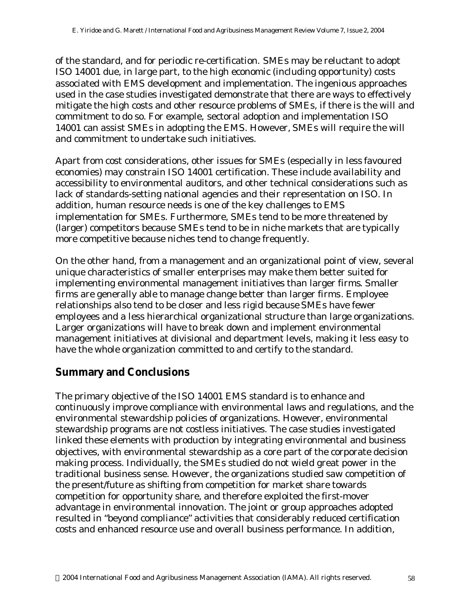of the standard, and for periodic re-certification. SMEs may be reluctant to adopt ISO 14001 due, in large part, to the high economic (including opportunity) costs associated with EMS development and implementation. The ingenious approaches used in the case studies investigated demonstrate that there are ways to effectively mitigate the high costs and other resource problems of SMEs, if there is the will and commitment to do so. For example, sectoral adoption and implementation ISO 14001 can assist SMEs in adopting the EMS. However, SMEs will require the will and commitment to undertake such initiatives.

Apart from cost considerations, other issues for SMEs (especially in less favoured economies) may constrain ISO 14001 certification. These include availability and accessibility to environmental auditors, and other technical considerations such as lack of standards-setting national agencies and their representation on ISO. In addition, human resource needs is one of the key challenges to EMS implementation for SMEs. Furthermore, SMEs tend to be more threatened by (larger) competitors because SMEs tend to be in niche markets that are typically more competitive because niches tend to change frequently.

On the other hand, from a management and an organizational point of view, several unique characteristics of smaller enterprises may make them better suited for implementing environmental management initiatives than larger firms. Smaller firms are generally able to manage change better than larger firms. Employee relationships also tend to be closer and less rigid because SMEs have fewer employees and a less hierarchical organizational structure than large organizations. Larger organizations will have to break down and implement environmental management initiatives at divisional and department levels, making it less easy to have the whole organization committed to and certify to the standard.

### **Summary and Conclusions**

The primary objective of the ISO 14001 EMS standard is to enhance and continuously improve compliance with environmental laws and regulations, and the environmental stewardship policies of organizations. However, environmental stewardship programs are not costless initiatives. The case studies investigated linked these elements with production by integrating environmental and business objectives, with environmental stewardship as a core part of the corporate decision making process. Individually, the SMEs studied do not wield great power in the traditional business sense. However, the organizations studied saw competition of the present/future as shifting from competition for market share towards competition for opportunity share, and therefore exploited the first-mover advantage in environmental innovation. The joint or group approaches adopted resulted in "beyond compliance" activities that considerably reduced certification costs and enhanced resource use and overall business performance. In addition,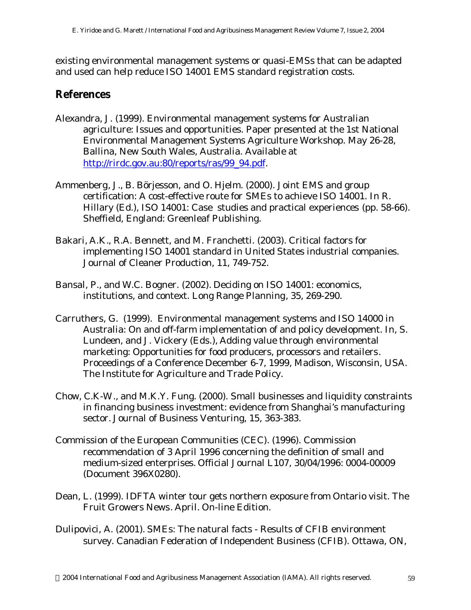existing environmental management systems or quasi-EMSs that can be adapted and used can help reduce ISO 14001 EMS standard registration costs.

## **References**

- Alexandra, J. (1999). Environmental management systems for Australian agriculture: Issues and opportunities. Paper presented at the 1st National Environmental Management Systems Agriculture Workshop. May 26-28, Ballina, New South Wales, Australia. Available at http://rirdc.gov.au:80/reports/ras/99\_94.pdf.
- Ammenberg, J., B. Börjesson, and O. Hjelm. (2000). Joint EMS and group certification: A cost-effective route for SMEs to achieve ISO 14001. In R. Hillary (Ed.), *ISO 14001: Case studies and practical experiences* (pp. 58-66). Sheffield, England: Greenleaf Publishing.
- Bakari, A.K., R.A. Bennett, and M. Franchetti. (2003). Critical factors for implementing ISO 14001 standard in United States industrial companies. *Journal of Cleaner Production*, 11, 749-752.
- Bansal, P., and W.C. Bogner. (2002). Deciding on ISO 14001: economics, institutions, and context. *Long Range Planning*, 35, 269-290.
- Carruthers, G. (1999). Environmental management systems and ISO 14000 in Australia: On and off-farm implementation of and policy development. In, S. Lundeen, and J. Vickery (Eds.), *Adding value through environmental marketing: Opportunities for food producers, processors and retailers*. Proceedings of a Conference December 6-7, 1999, Madison, Wisconsin, USA. The Institute for Agriculture and Trade Policy.
- Chow, C.K-W., and M.K.Y. Fung. (2000). Small businesses and liquidity constraints in financing business investment: evidence from Shanghai's manufacturing sector. *Journal of Business Venturing*, 15, 363-383.
- Commission of the European Communities (CEC). (1996). Commission recommendation of 3 April 1996 concerning the definition of small and medium-sized enterprises. *Official Journal* L107, 30/04/1996: 0004-00009 (Document 396X0280).
- Dean, L. (1999). IDFTA winter tour gets northern exposure from Ontario visit. *The Fruit Growers News*. April. On-line Edition.
- Dulipovici, A. (2001). SMEs: The natural facts Results of CFIB environment survey. Canadian Federation of Independent Business (CFIB). Ottawa, ON,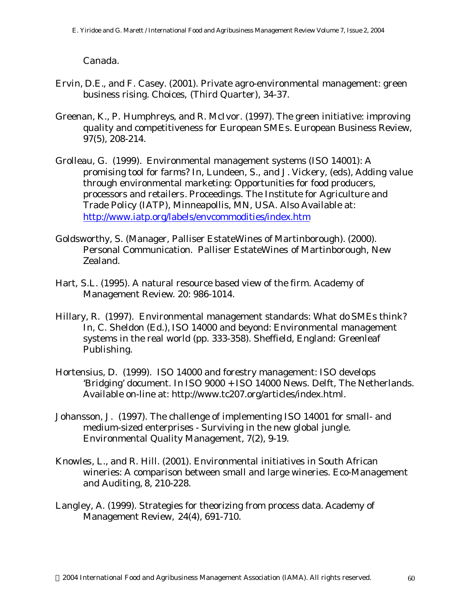Canada.

- Ervin, D.E., and F. Casey. (2001). Private agro-environmental management: green business rising. *Choices,* (Third Quarter), 34-37.
- Greenan, K., P. Humphreys, and R. McIvor. (1997). The green initiative: improving quality and competitiveness for European SMEs. *European Business Review,* 97(5), 208-214.
- Grolleau, G. (1999). Environmental management systems (ISO 14001): A promising tool for farms? In, Lundeen, S., and J. Vickery, (eds), *Adding value through environmental marketing: Opportunities for food producers, processors and retailers*. Proceedings. The Institute for Agriculture and Trade Policy (IATP), Minneapollis, MN, USA. Also Available at: http://www.iatp.org/labels/envcommodities/index.htm
- Goldsworthy, S. (Manager, Palliser EstateWines of Martinborough). (2000). Personal Communication. Palliser EstateWines of Martinborough, New Zealand.
- Hart, S.L. (1995). A natural resource based view of the firm. *Academy of Management Review*. 20: 986-1014.
- Hillary, R. (1997). Environmental management standards: What do SMEs think? In, C. Sheldon (Ed.), *ISO 14000 and beyond: Environmental management systems in the real world* (pp. 333-358). Sheffield, England: Greenleaf Publishing.
- Hortensius, D. (1999). ISO 14000 and forestry management: ISO develops 'Bridging' document. In *ISO 9000 + ISO 14000 News*. Delft, The Netherlands. Available on-line at: http://www.tc207.org/articles/index.html.
- Johansson, J. (1997). The challenge of implementing ISO 14001 for small- and medium-sized enterprises - Surviving in the new global jungle. *Environmental Quality Management,* 7(2), 9-19.
- Knowles, L., and R. Hill. (2001). Environmental initiatives in South African wineries: A comparison between small and large wineries. *Eco-Management and Auditing,* 8, 210-228.
- Langley, A. (1999). Strategies for theorizing from process data. *Academy of Management Review,* 24(4), 691-710.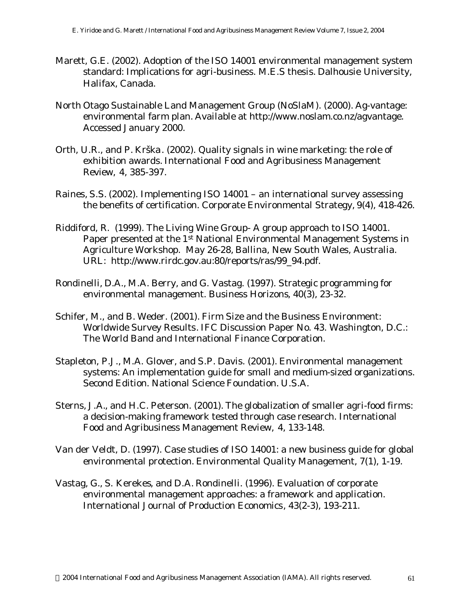- Marett, G.E. (2002). Adoption of the ISO 14001 environmental management system standard: Implications for agri-business. M.E.S thesis. Dalhousie University, Halifax, Canada.
- North Otago Sustainable Land Management Group (NoSlaM). (2000). Ag-vantage: environmental farm plan. Available at http://www.noslam.co.nz/agvantage. Accessed January 2000.
- Orth, U.R., and P. Krška. (2002). Quality signals in wine marketing: the role of exhibition awards. *International Food and Agribusiness Management Review,* 4, 385-397.
- Raines, S.S. (2002). Implementing ISO 14001 an international survey assessing the benefits of certification. *Corporate Environmental Strategy,* 9(4), 418-426.
- Riddiford, R. (1999). The Living Wine Group- A group approach to ISO 14001. Paper presented at the 1<sup>st</sup> National Environmental Management Systems in Agriculture Workshop. May 26-28, Ballina, New South Wales, Australia. URL: http://www.rirdc.gov.au:80/reports/ras/99\_94.pdf.
- Rondinelli, D.A., M.A. Berry, and G. Vastag. (1997). Strategic programming for environmental management. *Business Horizons*, 40(3), 23-32.
- Schifer, M., and B. Weder. (2001). *Firm Size and the Business Environment: Worldwide Survey Results*. IFC Discussion Paper No. 43. Washington, D.C.: The World Band and International Finance Corporation.
- Stapleton, P.J., M.A. Glover, and S.P. Davis. (2001). Environmental management systems: An implementation guide for small and medium-sized organizations. Second Edition. National Science Foundation. U.S.A.
- Sterns, J.A., and H.C. Peterson. (2001). The globalization of smaller agri-food firms: a decision-making framework tested through case research. *International Food and Agribusiness Management Review,* 4, 133-148.
- Van der Veldt, D. (1997). Case studies of ISO 14001: a new business guide for global environmental protection. *Environmental Quality Management,* 7(1), 1-19.
- Vastag, G., S. Kerekes, and D.A. Rondinelli. (1996). Evaluation of corporate environmental management approaches: a framework and application. *International Journal of Production Economics*, 43(2-3), 193-211.